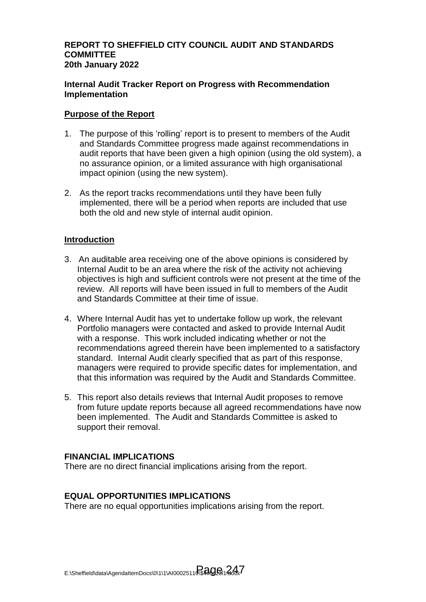# **REPORT TO SHEFFIELD CITY COUNCIL AUDIT AND STANDARDS COMMITTEE 20th January 2022**

# **Internal Audit Tracker Report on Progress with Recommendation Implementation**

# **Purpose of the Report**

- 1. The purpose of this 'rolling' report is to present to members of the Audit and Standards Committee progress made against recommendations in audit reports that have been given a high opinion (using the old system), a no assurance opinion, or a limited assurance with high organisational impact opinion (using the new system).
- 2. As the report tracks recommendations until they have been fully implemented, there will be a period when reports are included that use both the old and new style of internal audit opinion.

# **Introduction**

- 3. An auditable area receiving one of the above opinions is considered by Internal Audit to be an area where the risk of the activity not achieving objectives is high and sufficient controls were not present at the time of the review. All reports will have been issued in full to members of the Audit and Standards Committee at their time of issue.
- 4. Where Internal Audit has yet to undertake follow up work, the relevant Portfolio managers were contacted and asked to provide Internal Audit with a response. This work included indicating whether or not the recommendations agreed therein have been implemented to a satisfactory standard. Internal Audit clearly specified that as part of this response, managers were required to provide specific dates for implementation, and that this information was required by the Audit and Standards Committee.
- 5. This report also details reviews that Internal Audit proposes to remove from future update reports because all agreed recommendations have now been implemented. The Audit and Standards Committee is asked to support their removal.

# **FINANCIAL IMPLICATIONS**

There are no direct financial implications arising from the report.

# **EQUAL OPPORTUNITIES IMPLICATIONS**

There are no equal opportunities implications arising from the report.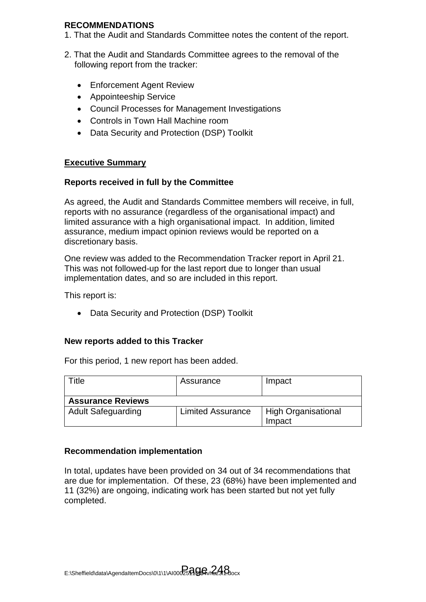# **RECOMMENDATIONS**

- 1. That the Audit and Standards Committee notes the content of the report.
- 2. That the Audit and Standards Committee agrees to the removal of the following report from the tracker:
	- Enforcement Agent Review
	- Appointeeship Service
	- Council Processes for Management Investigations
	- Controls in Town Hall Machine room
	- Data Security and Protection (DSP) Toolkit

# **Executive Summary**

# **Reports received in full by the Committee**

As agreed, the Audit and Standards Committee members will receive, in full, reports with no assurance (regardless of the organisational impact) and limited assurance with a high organisational impact. In addition, limited assurance, medium impact opinion reviews would be reported on a discretionary basis.

One review was added to the Recommendation Tracker report in April 21. This was not followed-up for the last report due to longer than usual implementation dates, and so are included in this report.

This report is:

• Data Security and Protection (DSP) Toolkit

# **New reports added to this Tracker**

For this period, 1 new report has been added.

| Title                     | Assurance                | Impact                     |
|---------------------------|--------------------------|----------------------------|
| <b>Assurance Reviews</b>  |                          |                            |
| <b>Adult Safeguarding</b> | <b>Limited Assurance</b> | <b>High Organisational</b> |
|                           |                          | Impact                     |

# **Recommendation implementation**

In total, updates have been provided on 34 out of 34 recommendations that are due for implementation. Of these, 23 (68%) have been implemented and 11 (32%) are ongoing, indicating work has been started but not yet fully completed.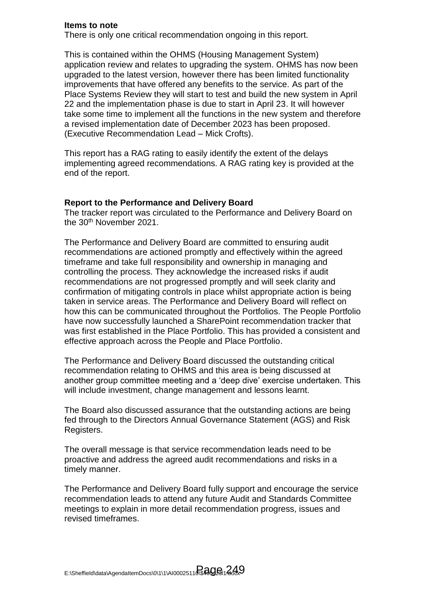## **Items to note**

There is only one critical recommendation ongoing in this report.

This is contained within the OHMS (Housing Management System) application review and relates to upgrading the system. OHMS has now been upgraded to the latest version, however there has been limited functionality improvements that have offered any benefits to the service. As part of the Place Systems Review they will start to test and build the new system in April 22 and the implementation phase is due to start in April 23. It will however take some time to implement all the functions in the new system and therefore a revised implementation date of December 2023 has been proposed. (Executive Recommendation Lead – Mick Crofts).

This report has a RAG rating to easily identify the extent of the delays implementing agreed recommendations. A RAG rating key is provided at the end of the report.

#### **Report to the Performance and Delivery Board**

The tracker report was circulated to the Performance and Delivery Board on the 30<sup>th</sup> November 2021.

The Performance and Delivery Board are committed to ensuring audit recommendations are actioned promptly and effectively within the agreed timeframe and take full responsibility and ownership in managing and controlling the process. They acknowledge the increased risks if audit recommendations are not progressed promptly and will seek clarity and confirmation of mitigating controls in place whilst appropriate action is being taken in service areas. The Performance and Delivery Board will reflect on how this can be communicated throughout the Portfolios. The People Portfolio have now successfully launched a SharePoint recommendation tracker that was first established in the Place Portfolio. This has provided a consistent and effective approach across the People and Place Portfolio.

The Performance and Delivery Board discussed the outstanding critical recommendation relating to OHMS and this area is being discussed at another group committee meeting and a 'deep dive' exercise undertaken. This will include investment, change management and lessons learnt.

The Board also discussed assurance that the outstanding actions are being fed through to the Directors Annual Governance Statement (AGS) and Risk Registers.

The overall message is that service recommendation leads need to be proactive and address the agreed audit recommendations and risks in a timely manner.

The Performance and Delivery Board fully support and encourage the service recommendation leads to attend any future Audit and Standards Committee meetings to explain in more detail recommendation progress, issues and revised timeframes.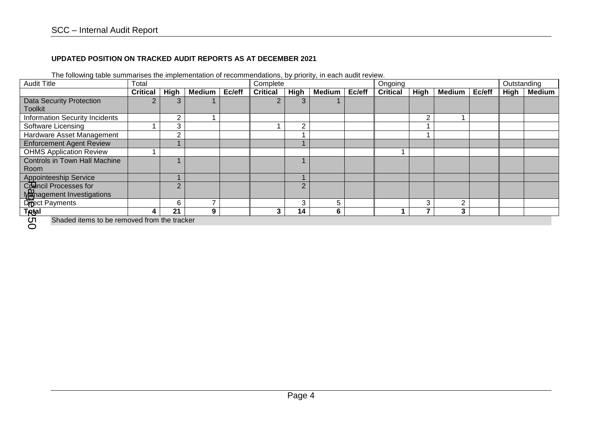## **UPDATED POSITION ON TRACKED AUDIT REPORTS AS AT DECEMBER 2021**

| <b>Audit Title</b>                                | Total           |             |               | Complete |                 |          | Ongoing       |        |                 |             | Outstanding   |        |             |               |
|---------------------------------------------------|-----------------|-------------|---------------|----------|-----------------|----------|---------------|--------|-----------------|-------------|---------------|--------|-------------|---------------|
|                                                   | <b>Critical</b> | <b>High</b> | <b>Medium</b> | Ec/eff   | <b>Critical</b> | High     | <b>Medium</b> | Ec/eff | <b>Critical</b> | <b>High</b> | <b>Medium</b> | Ec/eff | <b>High</b> | <b>Medium</b> |
| <b>Data Security Protection</b>                   |                 |             |               |          |                 |          |               |        |                 |             |               |        |             |               |
| <b>Toolkit</b>                                    |                 |             |               |          |                 |          |               |        |                 |             |               |        |             |               |
| <b>Information Security Incidents</b>             |                 | C           |               |          |                 |          |               |        |                 | 2           |               |        |             |               |
| Software Licensing                                |                 | 3           |               |          |                 |          |               |        |                 |             |               |        |             |               |
| Hardware Asset Management                         |                 | $\sqrt{2}$  |               |          |                 |          |               |        |                 |             |               |        |             |               |
| <b>Enforcement Agent Review</b>                   |                 |             |               |          |                 |          |               |        |                 |             |               |        |             |               |
| <b>OHMS Application Review</b>                    |                 |             |               |          |                 |          |               |        |                 |             |               |        |             |               |
| <b>Controls in Town Hall Machine</b>              |                 |             |               |          |                 |          |               |        |                 |             |               |        |             |               |
| Room                                              |                 |             |               |          |                 |          |               |        |                 |             |               |        |             |               |
| <b>Appointeeship Service</b>                      |                 |             |               |          |                 |          |               |        |                 |             |               |        |             |               |
| Council Processes for                             |                 | $\Omega$    |               |          |                 | $\Omega$ |               |        |                 |             |               |        |             |               |
| Management Investigations                         |                 |             |               |          |                 |          |               |        |                 |             |               |        |             |               |
| Dipect Payments                                   |                 | 6           |               |          |                 | ົ        | 5             |        |                 | 3           | ∩             |        |             |               |
| <b>T<sub>Rtal</sub></b>                           | 4               | 21          | 9             |          | 3               | 14       | 6             |        |                 | 7           | 3             |        |             |               |
| ō٦<br>Shaded items to be removed from the tracker |                 |             |               |          |                 |          |               |        |                 |             |               |        |             |               |

 $\sigma$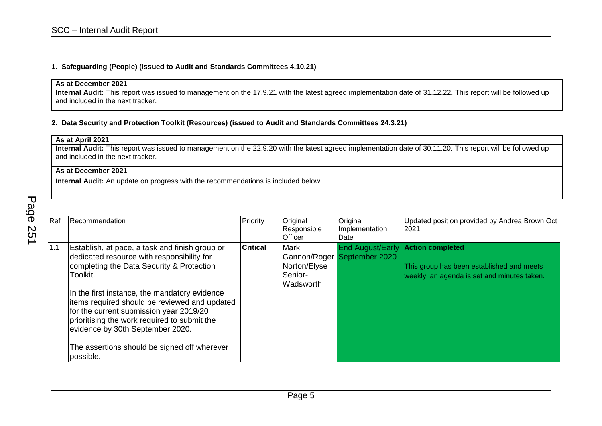#### **1. Safeguarding (People) (issued to Audit and Standards Committees 4.10.21)**

## **As at December 2021**

**Internal Audit:** This report was issued to management on the 17.9.21 with the latest agreed implementation date of 31.12.22. This report will be followed up and included in the next tracker.

#### **2. Data Security and Protection Toolkit (Resources) (issued to Audit and Standards Committees 24.3.21)**

| As at April 2021                                                                                                                                            |  |
|-------------------------------------------------------------------------------------------------------------------------------------------------------------|--|
| Internal Audit: This report was issued to management on the 22.9.20 with the latest agreed implementation date of 30.11.20. This report will be followed up |  |
| and included in the next tracker.                                                                                                                           |  |

## **As at December 2021**

| Ref | Recommendation                                                                                                                                                                                                                                                                                                                                                                                                                                      | Priority        | Original<br>Responsible<br><b>Officer</b>           | Original<br>Implementation<br>Date                     | Updated position provided by Andrea Brown Oct<br>2021                                                               |
|-----|-----------------------------------------------------------------------------------------------------------------------------------------------------------------------------------------------------------------------------------------------------------------------------------------------------------------------------------------------------------------------------------------------------------------------------------------------------|-----------------|-----------------------------------------------------|--------------------------------------------------------|---------------------------------------------------------------------------------------------------------------------|
| 1.1 | Establish, at pace, a task and finish group or<br>dedicated resource with responsibility for<br>completing the Data Security & Protection<br>Toolkit.<br>In the first instance, the mandatory evidence<br>items required should be reviewed and updated<br>for the current submission year 2019/20<br>prioritising the work required to submit the<br>evidence by 30th September 2020.<br>The assertions should be signed off wherever<br>possible. | <b>Critical</b> | Mark<br>Norton/Elyse<br>Senior-<br><b>Wadsworth</b> | <b>End August/Early</b><br>Gannon/Roger September 2020 | <b>Action completed</b><br>This group has been established and meets<br>weekly, an agenda is set and minutes taken. |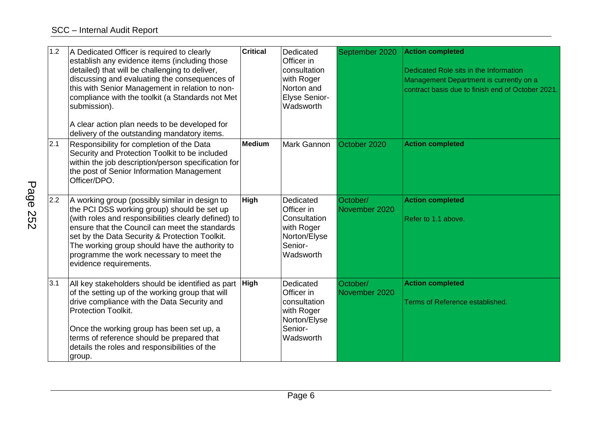| 1.2 | A Dedicated Officer is required to clearly<br>establish any evidence items (including those<br>detailed) that will be challenging to deliver,<br>discussing and evaluating the consequences of<br>this with Senior Management in relation to non-<br>compliance with the toolkit (a Standards not Met<br>submission).<br>A clear action plan needs to be developed for<br>delivery of the outstanding mandatory items. | <b>Critical</b> | Dedicated<br>Officer in<br>consultation<br>with Roger<br>Norton and<br>Elyse Senior-<br>Wadsworth | September 2020            | <b>Action completed</b><br>Dedicated Role sits in the Information<br>Management Department is currently on a<br>contract basis due to finish end of October 2021. |
|-----|------------------------------------------------------------------------------------------------------------------------------------------------------------------------------------------------------------------------------------------------------------------------------------------------------------------------------------------------------------------------------------------------------------------------|-----------------|---------------------------------------------------------------------------------------------------|---------------------------|-------------------------------------------------------------------------------------------------------------------------------------------------------------------|
| 2.1 | Responsibility for completion of the Data<br>Security and Protection Toolkit to be included<br>within the job description/person specification for<br>the post of Senior Information Management<br>Officer/DPO.                                                                                                                                                                                                        | <b>Medium</b>   | Mark Gannon                                                                                       | October 2020              | <b>Action completed</b>                                                                                                                                           |
| 2.2 | A working group (possibly similar in design to<br>the PCI DSS working group) should be set up<br>(with roles and responsibilities clearly defined) to<br>ensure that the Council can meet the standards<br>set by the Data Security & Protection Toolkit.<br>The working group should have the authority to<br>programme the work necessary to meet the<br>evidence requirements.                                      | <b>High</b>     | Dedicated<br>Officer in<br>Consultation<br>with Roger<br>Norton/Elyse<br>Senior-<br>Wadsworth     | October/<br>November 2020 | <b>Action completed</b><br>Refer to 1.1 above.                                                                                                                    |
| 3.1 | All key stakeholders should be identified as part<br>of the setting up of the working group that will<br>drive compliance with the Data Security and<br><b>Protection Toolkit.</b><br>Once the working group has been set up, a<br>terms of reference should be prepared that<br>details the roles and responsibilities of the<br>group.                                                                               | <b>High</b>     | Dedicated<br>Officer in<br>consultation<br>with Roger<br>Norton/Elyse<br>Senior-<br>Wadsworth     | October/<br>November 2020 | <b>Action completed</b><br>Terms of Reference established.                                                                                                        |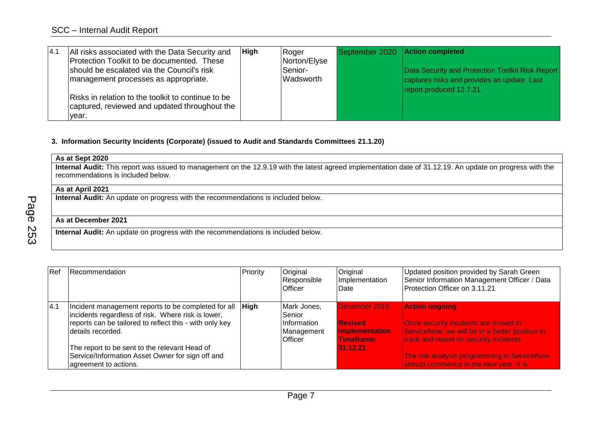| 4.1 | All risks associated with the Data Security and<br>Protection Toolkit to be documented. These<br>should be escalated via the Council's risk<br>management processes as appropriate. | <b>High</b> | Roger<br>Norton/Elyse<br>Senior-<br>Wadsworth | September 2020 Action completed | Data Security and Protection Toolkit Risk Report<br>captures risks and provides an update. Last<br>report produced 12.7.21. |
|-----|-------------------------------------------------------------------------------------------------------------------------------------------------------------------------------------|-------------|-----------------------------------------------|---------------------------------|-----------------------------------------------------------------------------------------------------------------------------|
|     | Risks in relation to the toolkit to continue to be<br>captured, reviewed and updated throughout the<br>year.                                                                        |             |                                               |                                 |                                                                                                                             |

#### **3. Information Security Incidents (Corporate) (issued to Audit and Standards Committees 21.1.20)**

# **As at Sept 2020**

**Internal Audit:** This report was issued to management on the 12.9.19 with the latest agreed implementation date of 31.12.19. An update on progress with the recommendations is included below.

## **As at April 2021**

**Internal Audit:** An update on progress with the recommendations is included below.

## **As at December 2021**

| Ref | Recommendation                                                                                                                                                                            | Priority    | Original<br>Responsible<br><b>Officer</b>                            | Original<br>Implementation<br>Date                                     | Updated position provided by Sarah Green<br>Senior Information Management Officer / Data<br>Protection Officer on 3.11.21                                  |
|-----|-------------------------------------------------------------------------------------------------------------------------------------------------------------------------------------------|-------------|----------------------------------------------------------------------|------------------------------------------------------------------------|------------------------------------------------------------------------------------------------------------------------------------------------------------|
| 4.1 | Incident management reports to be completed for all<br>incidents regardless of risk. Where risk is lower,<br>reports can be tailored to reflect this - with only key<br>details recorded. | <b>High</b> | Mark Jones,<br>Senior<br>Information<br>Management<br><b>Officer</b> | December 2019<br><b>Revised</b><br><b>Implementation</b><br>Timeframe: | <b>Action ongoing</b><br>Once security incidents are moved to<br>ServiceNow, we will be in a better position to<br>track and report on security incidents. |
|     | The report to be sent to the relevant Head of<br>Service/Information Asset Owner for sign off and<br>agreement to actions.                                                                |             |                                                                      | 31.12.21                                                               | The risk analysis programming in ServiceNow<br>should commence in the new year. It is                                                                      |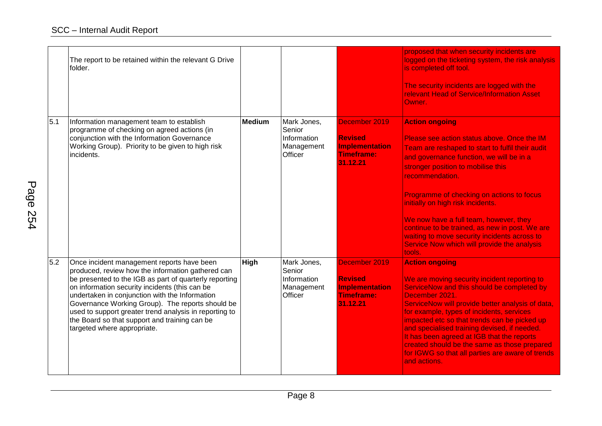|     | The report to be retained within the relevant G Drive<br>folder.                                                                                                                                                                                                                                                                                                                                                                                            |             |                                                               |                                                                                    | proposed that when security incidents are<br>logged on the ticketing system, the risk analysis<br>is completed off tool.<br>The security incidents are logged with the<br>relevant Head of Service/Information Asset<br>Owner.                                                                                                                                                                                                                                                                                       |
|-----|-------------------------------------------------------------------------------------------------------------------------------------------------------------------------------------------------------------------------------------------------------------------------------------------------------------------------------------------------------------------------------------------------------------------------------------------------------------|-------------|---------------------------------------------------------------|------------------------------------------------------------------------------------|----------------------------------------------------------------------------------------------------------------------------------------------------------------------------------------------------------------------------------------------------------------------------------------------------------------------------------------------------------------------------------------------------------------------------------------------------------------------------------------------------------------------|
| 5.1 | Information management team to establish<br>programme of checking on agreed actions (in<br>conjunction with the Information Governance<br>Working Group). Priority to be given to high risk<br>incidents.                                                                                                                                                                                                                                                   | Medium      | Mark Jones,<br>Senior<br>Information<br>Management<br>Officer | December 2019<br><b>Revised</b><br>Implementation<br><b>Timeframe:</b><br>31.12.21 | <b>Action ongoing</b><br>Please see action status above. Once the IM<br>Team are reshaped to start to fulfil their audit<br>and governance function, we will be in a<br>stronger position to mobilise this<br>recommendation.<br>Programme of checking on actions to focus<br>initially on high risk incidents.<br>We now have a full team, however, they<br>continue to be trained, as new in post. We are<br>waiting to move security incidents across to<br>Service Now which will provide the analysis<br>tools. |
| 5.2 | Once incident management reports have been<br>produced, review how the information gathered can<br>be presented to the IGB as part of quarterly reporting<br>on information security incidents (this can be<br>undertaken in conjunction with the Information<br>Governance Working Group). The reports should be<br>used to support greater trend analysis in reporting to<br>the Board so that support and training can be<br>targeted where appropriate. | <b>High</b> | Mark Jones,<br>Senior<br>Information<br>Management<br>Officer | December 2019<br><b>Revised</b><br>Implementation<br><b>Timeframe:</b><br>31.12.21 | <b>Action ongoing</b><br>We are moving security incident reporting to<br>ServiceNow and this should be completed by<br>December 2021.<br>ServiceNow will provide better analysis of data,<br>for example, types of incidents, services<br>impacted etc so that trends can be picked up<br>and specialised training devised, if needed.<br>It has been agreed at IGB that the reports<br>created should be the same as those prepared<br>for IGWG so that all parties are aware of trends<br>and actions.             |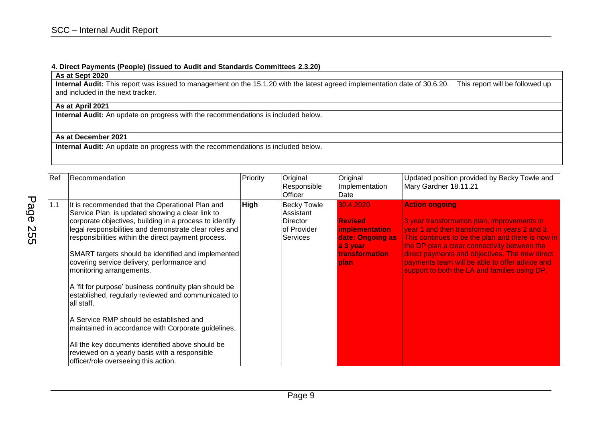#### **4. Direct Payments (People) (issued to Audit and Standards Committees 2.3.20)**

## **As at Sept 2020**

**Internal Audit:** This report was issued to management on the 15.1.20 with the latest agreed implementation date of 30.6.20. This report will be followed up and included in the next tracker.

# **As at April 2021**

**Internal Audit:** An update on progress with the recommendations is included below.

## **As at December 2021**

| Ref | Recommendation                                                                                                                                                                                                                                                                                                                                                                                                                                                                                                                                                                                                                                                                                                                                                                               | Priority | Original<br>Responsible<br>Officer                                            | Original<br>Implementation<br>Date                                                                              | Updated position provided by Becky Towle and<br>Mary Gardner 18.11.21                                                                                                                                                                                                                                                                                                           |
|-----|----------------------------------------------------------------------------------------------------------------------------------------------------------------------------------------------------------------------------------------------------------------------------------------------------------------------------------------------------------------------------------------------------------------------------------------------------------------------------------------------------------------------------------------------------------------------------------------------------------------------------------------------------------------------------------------------------------------------------------------------------------------------------------------------|----------|-------------------------------------------------------------------------------|-----------------------------------------------------------------------------------------------------------------|---------------------------------------------------------------------------------------------------------------------------------------------------------------------------------------------------------------------------------------------------------------------------------------------------------------------------------------------------------------------------------|
| 1.1 | It is recommended that the Operational Plan and<br>Service Plan is updated showing a clear link to<br>corporate objectives, building in a process to identify<br>legal responsibilities and demonstrate clear roles and<br>responsibilities within the direct payment process.<br>SMART targets should be identified and implemented<br>covering service delivery, performance and<br>monitoring arrangements.<br>A 'fit for purpose' business continuity plan should be<br>established, regularly reviewed and communicated to<br>all staff.<br>A Service RMP should be established and<br>maintained in accordance with Corporate guidelines.<br>All the key documents identified above should be<br>reviewed on a yearly basis with a responsible<br>officer/role overseeing this action. | High     | <b>Becky Towle</b><br>Assistant<br><b>Director</b><br>of Provider<br>Services | 30.4.2020<br><b>Revised</b><br>implementation<br>date: Ongoing as<br>a 3 year<br>transformation<br><b>lplan</b> | <b>Action ongoing</b><br>3 year transformation plan, improvements in<br>year 1 and then transformed in years 2 and 3.<br>This continues to be the plan and there is now in<br>the DP plan a clear connectivity between the<br>direct payments and objectives. The new direct<br>payments team will be able to offer advice and<br>support to both the LA and families using DP. |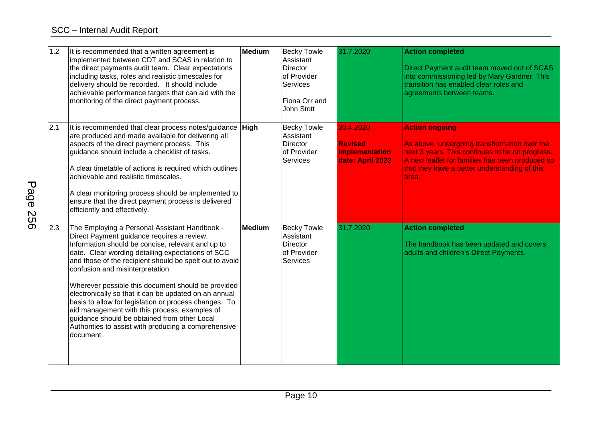| 1.2 | It is recommended that a written agreement is<br>implemented between CDT and SCAS in relation to<br>the direct payments audit team. Clear expectations<br>including tasks, roles and realistic timescales for<br>delivery should be recorded. It should include<br>achievable performance targets that can aid with the<br>monitoring of the direct payment process.                                                                                                                                                                                                                                                                              | Medium        | <b>Becky Towle</b><br>Assistant<br><b>Director</b><br>of Provider<br>Services<br>Fiona Orr and<br>John Stott | 31.7.2020                                                                | <b>Action completed</b><br>Direct Payment audit team moved out of SCAS<br>into commissioning led by Mary Gardner. This<br>transition has enabled clear roles and<br>agreements between teams.                                          |
|-----|---------------------------------------------------------------------------------------------------------------------------------------------------------------------------------------------------------------------------------------------------------------------------------------------------------------------------------------------------------------------------------------------------------------------------------------------------------------------------------------------------------------------------------------------------------------------------------------------------------------------------------------------------|---------------|--------------------------------------------------------------------------------------------------------------|--------------------------------------------------------------------------|----------------------------------------------------------------------------------------------------------------------------------------------------------------------------------------------------------------------------------------|
| 2.1 | It is recommended that clear process notes/guidance High<br>are produced and made available for delivering all<br>aspects of the direct payment process. This<br>guidance should include a checklist of tasks.<br>A clear timetable of actions is required which outlines<br>achievable and realistic timescales.<br>A clear monitoring process should be implemented to<br>ensure that the direct payment process is delivered<br>efficiently and effectively.                                                                                                                                                                                   |               | <b>Becky Towle</b><br>Assistant<br><b>Director</b><br>of Provider<br><b>Services</b>                         | 30.4.2020<br><b>Revised</b><br><b>implementation</b><br>date: April 2022 | <b>Action ongoing</b><br>As above, undergoing transformation over the<br>next 3 years. This continues to be on progress.<br>A new leaflet for families has been produced so<br>that they have a better understanding of this<br>larea. |
| 2.3 | The Employing a Personal Assistant Handbook -<br>Direct Payment guidance requires a review.<br>Information should be concise, relevant and up to<br>date. Clear wording detailing expectations of SCC<br>and those of the recipient should be spelt out to avoid<br>confusion and misinterpretation<br>Wherever possible this document should be provided<br>electronically so that it can be updated on an annual<br>basis to allow for legislation or process changes. To<br>aid management with this process, examples of<br>guidance should be obtained from other Local<br>Authorities to assist with producing a comprehensive<br>document. | <b>Medium</b> | <b>Becky Towle</b><br>Assistant<br><b>Director</b><br>of Provider<br><b>Services</b>                         | 31.7.2020                                                                | <b>Action completed</b><br>The handbook has been updated and covers<br>adults and children's Direct Payments.                                                                                                                          |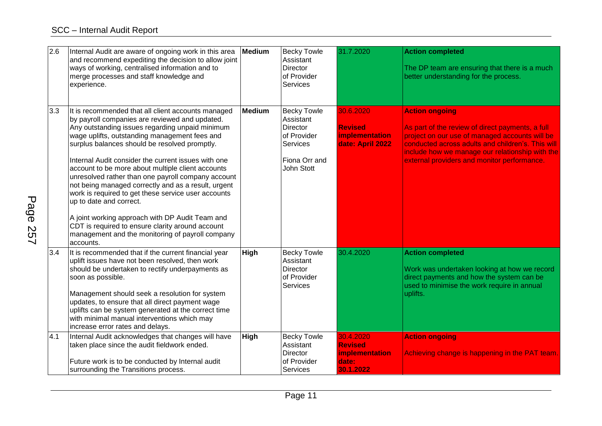| 2.6 | Internal Audit are aware of ongoing work in this area<br>and recommend expediting the decision to allow joint<br>ways of working, centralised information and to<br>merge processes and staff knowledge and<br>experience.                                                                                                                                                                                                                                                                                                                                                                                                                                                                                                                   | <b>Medium</b> | <b>Becky Towle</b><br>Assistant<br><b>Director</b><br>of Provider<br><b>Services</b>                                | 31.7.2020                                                           | <b>Action completed</b><br>The DP team are ensuring that there is a much<br>better understanding for the process.                                                                                                                                                                  |
|-----|----------------------------------------------------------------------------------------------------------------------------------------------------------------------------------------------------------------------------------------------------------------------------------------------------------------------------------------------------------------------------------------------------------------------------------------------------------------------------------------------------------------------------------------------------------------------------------------------------------------------------------------------------------------------------------------------------------------------------------------------|---------------|---------------------------------------------------------------------------------------------------------------------|---------------------------------------------------------------------|------------------------------------------------------------------------------------------------------------------------------------------------------------------------------------------------------------------------------------------------------------------------------------|
| 3.3 | It is recommended that all client accounts managed<br>by payroll companies are reviewed and updated.<br>Any outstanding issues regarding unpaid minimum<br>wage uplifts, outstanding management fees and<br>surplus balances should be resolved promptly.<br>Internal Audit consider the current issues with one<br>account to be more about multiple client accounts<br>unresolved rather than one payroll company account<br>not being managed correctly and as a result, urgent<br>work is required to get these service user accounts<br>up to date and correct.<br>A joint working approach with DP Audit Team and<br>CDT is required to ensure clarity around account<br>management and the monitoring of payroll company<br>accounts. | <b>Medium</b> | <b>Becky Towle</b><br>Assistant<br><b>Director</b><br>of Provider<br><b>Services</b><br>Fiona Orr and<br>John Stott | 30.6.2020<br><b>Revised</b><br>implementation<br>date: April 2022   | <b>Action ongoing</b><br>As part of the review of direct payments, a full<br>project on our use of managed accounts will be<br>conducted across adults and children's. This will<br>include how we manage our relationship with the<br>external providers and monitor performance. |
| 3.4 | It is recommended that if the current financial year<br>uplift issues have not been resolved, then work<br>should be undertaken to rectify underpayments as<br>soon as possible.<br>Management should seek a resolution for system<br>updates, to ensure that all direct payment wage<br>uplifts can be system generated at the correct time<br>with minimal manual interventions which may<br>increase error rates and delays.                                                                                                                                                                                                                                                                                                              | <b>High</b>   | <b>Becky Towle</b><br>Assistant<br><b>Director</b><br>of Provider<br><b>Services</b>                                | 30.4.2020                                                           | <b>Action completed</b><br>Work was undertaken looking at how we record<br>direct payments and how the system can be<br>used to minimise the work require in annual<br>uplifts.                                                                                                    |
| 4.1 | Internal Audit acknowledges that changes will have<br>taken place since the audit fieldwork ended.<br>Future work is to be conducted by Internal audit<br>surrounding the Transitions process.                                                                                                                                                                                                                                                                                                                                                                                                                                                                                                                                               | <b>High</b>   | <b>Becky Towle</b><br>Assistant<br><b>Director</b><br>of Provider<br>Services                                       | 30.4.2020<br><b>Revised</b><br>implementation<br>date:<br>30.1.2022 | <b>Action ongoing</b><br>Achieving change is happening in the PAT team.                                                                                                                                                                                                            |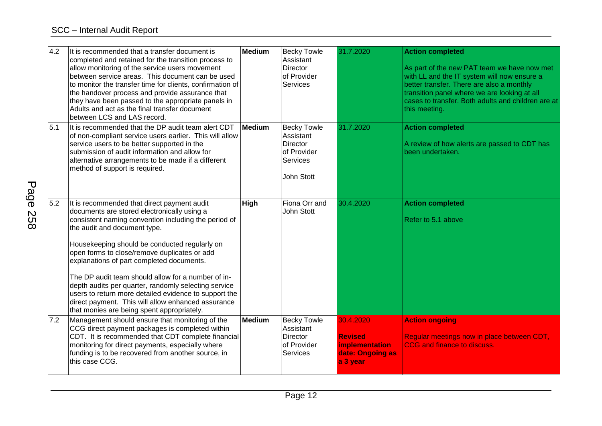| 4.2 | It is recommended that a transfer document is<br>completed and retained for the transition process to<br>allow monitoring of the service users movement<br>between service areas. This document can be used<br>to monitor the transfer time for clients, confirmation of<br>the handover process and provide assurance that<br>they have been passed to the appropriate panels in<br>Adults and act as the final transfer document<br>between LCS and LAS record.                                                                                                                                           | <b>Medium</b> | <b>Becky Towle</b><br>Assistant<br><b>Director</b><br>of Provider<br><b>Services</b>        | 31.7.2020                                                                     | <b>Action completed</b><br>As part of the new PAT team we have now met<br>with LL and the IT system will now ensure a<br>better transfer. There are also a monthly<br>transition panel where we are looking at all<br>cases to transfer. Both adults and children are at<br>this meeting. |
|-----|-------------------------------------------------------------------------------------------------------------------------------------------------------------------------------------------------------------------------------------------------------------------------------------------------------------------------------------------------------------------------------------------------------------------------------------------------------------------------------------------------------------------------------------------------------------------------------------------------------------|---------------|---------------------------------------------------------------------------------------------|-------------------------------------------------------------------------------|-------------------------------------------------------------------------------------------------------------------------------------------------------------------------------------------------------------------------------------------------------------------------------------------|
| 5.1 | It is recommended that the DP audit team alert CDT<br>of non-compliant service users earlier. This will allow<br>service users to be better supported in the<br>submission of audit information and allow for<br>alternative arrangements to be made if a different<br>method of support is required.                                                                                                                                                                                                                                                                                                       | Medium        | <b>Becky Towle</b><br>Assistant<br><b>Director</b><br>of Provider<br>Services<br>John Stott | 31.7.2020                                                                     | <b>Action completed</b><br>A review of how alerts are passed to CDT has<br>been undertaken.                                                                                                                                                                                               |
| 5.2 | It is recommended that direct payment audit<br>documents are stored electronically using a<br>consistent naming convention including the period of<br>the audit and document type.<br>Housekeeping should be conducted regularly on<br>open forms to close/remove duplicates or add<br>explanations of part completed documents.<br>The DP audit team should allow for a number of in-<br>depth audits per quarter, randomly selecting service<br>users to return more detailed evidence to support the<br>direct payment. This will allow enhanced assurance<br>that monies are being spent appropriately. | High          | Fiona Orr and<br>John Stott                                                                 | 30.4.2020                                                                     | <b>Action completed</b><br>Refer to 5.1 above                                                                                                                                                                                                                                             |
| 7.2 | Management should ensure that monitoring of the<br>CCG direct payment packages is completed within<br>CDT. It is recommended that CDT complete financial<br>monitoring for direct payments, especially where<br>funding is to be recovered from another source, in<br>this case CCG.                                                                                                                                                                                                                                                                                                                        | <b>Medium</b> | <b>Becky Towle</b><br>Assistant<br><b>Director</b><br>of Provider<br>Services               | 30.4.2020<br><b>Revised</b><br>implementation<br>date: Ongoing as<br>a 3 year | <b>Action ongoing</b><br>Regular meetings now in place between CDT,<br>CCG and finance to discuss.                                                                                                                                                                                        |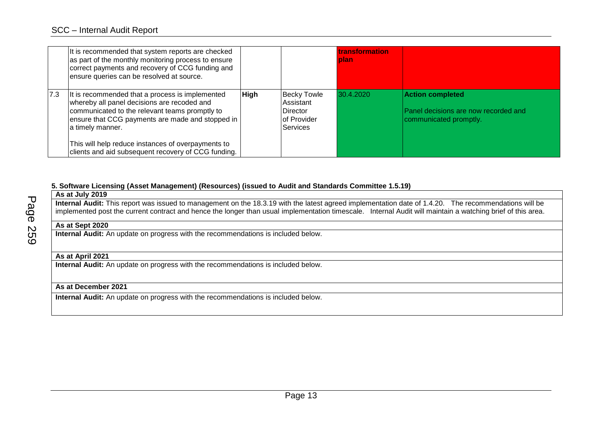|     | It is recommended that system reports are checked<br>as part of the monthly monitoring process to ensure<br>correct payments and recovery of CCG funding and<br>ensure queries can be resolved at source.                                                                                                                             |             |                                                                                      | <b>transformation</b><br>plan |                                                                                           |
|-----|---------------------------------------------------------------------------------------------------------------------------------------------------------------------------------------------------------------------------------------------------------------------------------------------------------------------------------------|-------------|--------------------------------------------------------------------------------------|-------------------------------|-------------------------------------------------------------------------------------------|
| 7.3 | It is recommended that a process is implemented<br>whereby all panel decisions are recoded and<br>communicated to the relevant teams promptly to<br>ensure that CCG payments are made and stopped in<br>a timely manner.<br>This will help reduce instances of overpayments to<br>clients and aid subsequent recovery of CCG funding. | <b>High</b> | <b>Becky Towle</b><br>Assistant<br><b>Director</b><br>of Provider<br><b>Services</b> | 30.4.2020                     | <b>Action completed</b><br>Panel decisions are now recorded and<br>communicated promptly. |

#### **5. Software Licensing (Asset Management) (Resources) (issued to Audit and Standards Committee 1.5.19)**

**As at July 2019 Internal Audit:** This report was issued to management on the 18.3.19 with the latest agreed implementation date of 1.4.20. The recommendations will be implemented post the current contract and hence the longer than usual implementation timescale. Internal Audit will maintain a watching brief of this area. **As at Sept 2020 Internal Audit:** An update on progress with the recommendations is included below. **As at April 2021 Internal Audit:** An update on progress with the recommendations is included below.

## **As at December 2021**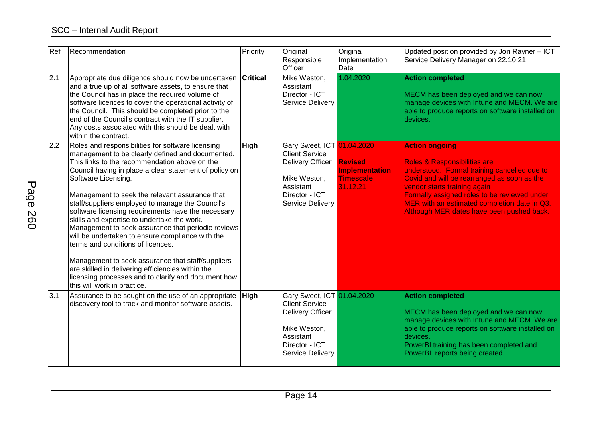| Ref | Recommendation                                                                                                                                                                                                                                                                                                                                                                                                                                                                                                                                                                                                                                                                                                                                                                                    | Priority | Original<br>Responsible<br>Officer                                                                                                                | Original<br>Implementation<br>Date                                      | Updated position provided by Jon Rayner - ICT<br>Service Delivery Manager on 22.10.21                                                                                                                                                                                                                                                        |
|-----|---------------------------------------------------------------------------------------------------------------------------------------------------------------------------------------------------------------------------------------------------------------------------------------------------------------------------------------------------------------------------------------------------------------------------------------------------------------------------------------------------------------------------------------------------------------------------------------------------------------------------------------------------------------------------------------------------------------------------------------------------------------------------------------------------|----------|---------------------------------------------------------------------------------------------------------------------------------------------------|-------------------------------------------------------------------------|----------------------------------------------------------------------------------------------------------------------------------------------------------------------------------------------------------------------------------------------------------------------------------------------------------------------------------------------|
| 2.1 | Appropriate due diligence should now be undertaken Critical<br>and a true up of all software assets, to ensure that<br>the Council has in place the required volume of<br>software licences to cover the operational activity of<br>the Council. This should be completed prior to the<br>end of the Council's contract with the IT supplier.<br>Any costs associated with this should be dealt with<br>within the contract.                                                                                                                                                                                                                                                                                                                                                                      |          | Mike Weston,<br>Assistant<br>Director - ICT<br>Service Delivery                                                                                   | 1.04.2020                                                               | <b>Action completed</b><br>MECM has been deployed and we can now<br>manage devices with Intune and MECM. We are<br>able to produce reports on software installed on<br>devices.                                                                                                                                                              |
| 2.2 | Roles and responsibilities for software licensing<br>management to be clearly defined and documented.<br>This links to the recommendation above on the<br>Council having in place a clear statement of policy on<br>Software Licensing.<br>Management to seek the relevant assurance that<br>staff/suppliers employed to manage the Council's<br>software licensing requirements have the necessary<br>skills and expertise to undertake the work.<br>Management to seek assurance that periodic reviews<br>will be undertaken to ensure compliance with the<br>terms and conditions of licences.<br>Management to seek assurance that staff/suppliers<br>are skilled in delivering efficiencies within the<br>licensing processes and to clarify and document how<br>this will work in practice. | High     | Gary Sweet, ICT 01.04.2020<br><b>Client Service</b><br>Delivery Officer<br>Mike Weston,<br>Assistant<br>Director - ICT<br>Service Delivery        | <b>Revised</b><br><b>Implementation</b><br><b>Timescale</b><br>31.12.21 | <b>Action ongoing</b><br><b>Roles &amp; Responsibilities are</b><br>understood. Formal training cancelled due to<br>Covid and will be rearranged as soon as the<br>vendor starts training again<br>Formally assigned roles to be reviewed under<br>MER with an estimated completion date in Q3.<br>Although MER dates have been pushed back. |
| 3.1 | Assurance to be sought on the use of an appropriate<br>discovery tool to track and monitor software assets.                                                                                                                                                                                                                                                                                                                                                                                                                                                                                                                                                                                                                                                                                       | High     | Gary Sweet, ICT 01.04.2020<br><b>Client Service</b><br>Delivery Officer<br>Mike Weston,<br>Assistant<br>Director - ICT<br><b>Service Delivery</b> |                                                                         | <b>Action completed</b><br>MECM has been deployed and we can now<br>manage devices with Intune and MECM. We are<br>able to produce reports on software installed on<br>devices.<br>PowerBI training has been completed and<br>PowerBI reports being created.                                                                                 |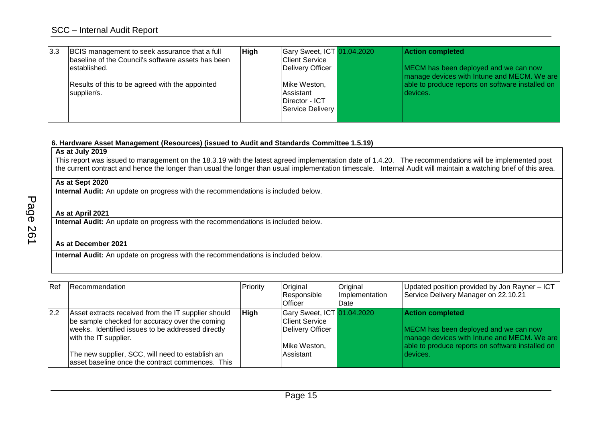| 3.3 | BCIS management to seek assurance that a full<br>baseline of the Council's software assets has been | <b>High</b> | Gary Sweet, ICT 01.04.2020<br><b>Client Service</b>             | <b>Action completed</b>                                                              |
|-----|-----------------------------------------------------------------------------------------------------|-------------|-----------------------------------------------------------------|--------------------------------------------------------------------------------------|
|     | established.                                                                                        |             | Delivery Officer                                                | MECM has been deployed and we can now<br>manage devices with Intune and MECM. We are |
|     | Results of this to be agreed with the appointed<br>supplier/s.                                      |             | Mike Weston,<br>Assistant<br>Director - ICT<br>Service Delivery | able to produce reports on software installed on<br>devices.                         |

## **6. Hardware Asset Management (Resources) (issued to Audit and Standards Committee 1.5.19)**

#### **As at July 2019**

This report was issued to management on the 18.3.19 with the latest agreed implementation date of 1.4.20. The recommendations will be implemented post the current contract and hence the longer than usual the longer than usual implementation timescale. Internal Audit will maintain a watching brief of this area.

### **As at Sept 2020**

**Internal Audit:** An update on progress with the recommendations is included below.

#### **As at April 2021**

**Internal Audit:** An update on progress with the recommendations is included below.

## **As at December 2021**

| Ref | Recommendation                                                                                                                                                                                                                                                                              | Priority    | Original<br>Responsible<br><b>Officer</b>                                                            | Original<br>Implementation<br>Date | Updated position provided by Jon Rayner - ICT<br>Service Delivery Manager on 22.10.21                                                                                            |
|-----|---------------------------------------------------------------------------------------------------------------------------------------------------------------------------------------------------------------------------------------------------------------------------------------------|-------------|------------------------------------------------------------------------------------------------------|------------------------------------|----------------------------------------------------------------------------------------------------------------------------------------------------------------------------------|
| 2.2 | Asset extracts received from the IT supplier should<br>be sample checked for accuracy over the coming<br>weeks. Identified issues to be addressed directly<br>with the IT supplier.<br>The new supplier, SCC, will need to establish an<br>asset baseline once the contract commences. This | <b>High</b> | Gary Sweet, ICT 01.04.2020<br><b>Client Service</b><br>Delivery Officer<br>Mike Weston,<br>Assistant |                                    | <b>Action completed</b><br>MECM has been deployed and we can now<br>manage devices with Intune and MECM. We are<br>able to produce reports on software installed on<br>Idevices. |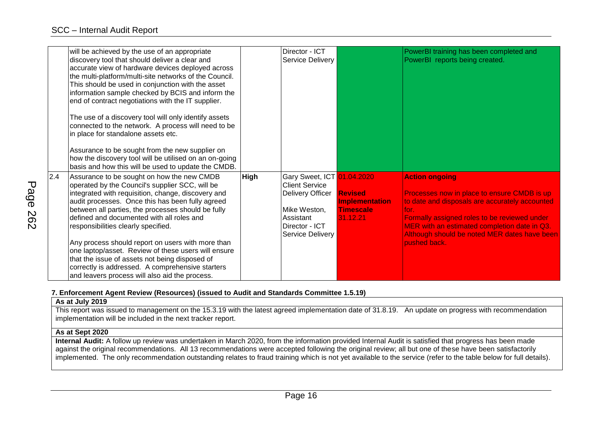|     | will be achieved by the use of an appropriate<br>discovery tool that should deliver a clear and<br>accurate view of hardware devices deployed across<br>the multi-platform/multi-site networks of the Council.<br>This should be used in conjunction with the asset<br>information sample checked by BCIS and inform the<br>end of contract negotiations with the IT supplier.<br>The use of a discovery tool will only identify assets<br>connected to the network. A process will need to be<br>in place for standalone assets etc.<br>Assurance to be sought from the new supplier on<br>how the discovery tool will be utilised on an on-going<br>basis and how this will be used to update the CMDB. |             | Director - ICT<br>Service Delivery                                                                                                         |                                                                         | PowerBI training has been completed and<br>PowerBI reports being created.                                                                                                                                                                                                                                      |
|-----|-----------------------------------------------------------------------------------------------------------------------------------------------------------------------------------------------------------------------------------------------------------------------------------------------------------------------------------------------------------------------------------------------------------------------------------------------------------------------------------------------------------------------------------------------------------------------------------------------------------------------------------------------------------------------------------------------------------|-------------|--------------------------------------------------------------------------------------------------------------------------------------------|-------------------------------------------------------------------------|----------------------------------------------------------------------------------------------------------------------------------------------------------------------------------------------------------------------------------------------------------------------------------------------------------------|
| 2.4 | Assurance to be sought on how the new CMDB<br>operated by the Council's supplier SCC, will be<br>integrated with requisition, change, discovery and<br>audit processes. Once this has been fully agreed<br>between all parties, the processes should be fully<br>defined and documented with all roles and<br>responsibilities clearly specified.<br>Any process should report on users with more than<br>one laptop/asset. Review of these users will ensure<br>that the issue of assets not being disposed of<br>correctly is addressed. A comprehensive starters<br>and leavers process will also aid the process.                                                                                     | <b>High</b> | Gary Sweet, ICT 01.04.2020<br><b>Client Service</b><br>Delivery Officer<br>Mike Weston,<br>Assistant<br>Director - ICT<br>Service Delivery | <b>Revised</b><br><b>Implementation</b><br><b>Timescale</b><br>31.12.21 | <b>Action ongoing</b><br>Processes now in place to ensure CMDB is up<br>to date and disposals are accurately accounted<br>lfor.<br><b>Formally assigned roles to be reviewed under</b><br>MER with an estimated completion date in Q3.<br>Although should be noted MER dates have been<br><b>loushed back.</b> |

## **7. Enforcement Agent Review (Resources) (issued to Audit and Standards Committee 1.5.19)**

**As at July 2019**

This report was issued to management on the 15.3.19 with the latest agreed implementation date of 31.8.19. An update on progress with recommendation implementation will be included in the next tracker report.

## **As at Sept 2020**

**Internal Audit:** A follow up review was undertaken in March 2020, from the information provided Internal Audit is satisfied that progress has been made against the original recommendations. All 13 recommendations were accepted following the original review; all but one of these have been satisfactorily implemented. The only recommendation outstanding relates to fraud training which is not yet available to the service (refer to the table below for full details).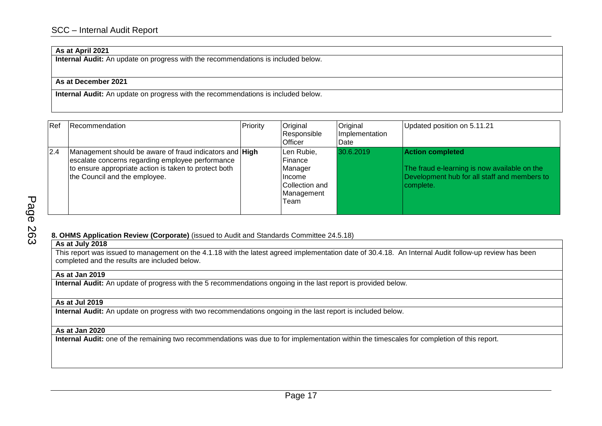## **As at April 2021**

**Internal Audit:** An update on progress with the recommendations is included below.

#### **As at December 2021**

**Internal Audit:** An update on progress with the recommendations is included below.

| Ref | <b>Recommendation</b>                                                                                                                                                                                 | Priority | Original<br>Responsible<br><b>Officer</b>                                           | Original<br>Implementation<br>Date | Updated position on 5.11.21                                                                                                          |
|-----|-------------------------------------------------------------------------------------------------------------------------------------------------------------------------------------------------------|----------|-------------------------------------------------------------------------------------|------------------------------------|--------------------------------------------------------------------------------------------------------------------------------------|
| 2.4 | Management should be aware of fraud indicators and High<br>escalate concerns regarding employee performance<br>to ensure appropriate action is taken to protect both<br>the Council and the employee. |          | Len Rubie,<br>Finance<br>Manager<br>Ilncome<br>Collection and<br>Management<br>Team | 30.6.2019                          | <b>Action completed</b><br>The fraud e-learning is now available on the<br>Development hub for all staff and members to<br>complete. |

**8. OHMS Application Review (Corporate)** (issued to Audit and Standards Committee 24.5.18)

## **As at July 2018**

This report was issued to management on the 4.1.18 with the latest agreed implementation date of 30.4.18. An Internal Audit follow-up review has been completed and the results are included below.

#### **As at Jan 2019**

**Internal Audit:** An update of progress with the 5 recommendations ongoing in the last report is provided below.

## **As at Jul 2019**

**Internal Audit:** An update on progress with two recommendations ongoing in the last report is included below.

#### **As at Jan 2020**

**Internal Audit:** one of the remaining two recommendations was due to for implementation within the timescales for completion of this report.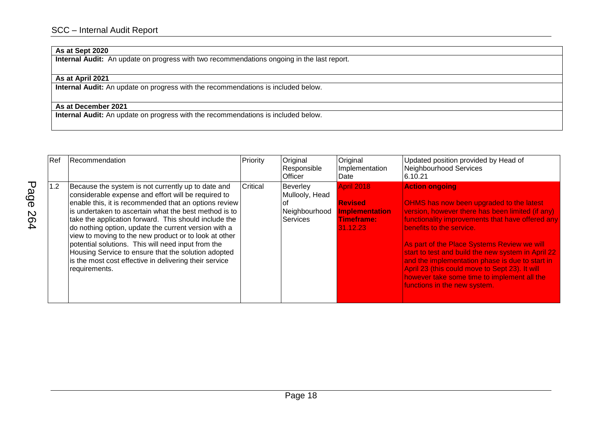## **As at Sept 2020**

**Internal Audit:** An update on progress with two recommendations ongoing in the last report.

## **As at April 2021**

**Internal Audit:** An update on progress with the recommendations is included below.

## **As at December 2021**

| Ref | Recommendation                                                                                                                                                                                                                                                                                                                                                                                                                                                                                                                                                                                | Priority | Original<br>Responsible<br>Officer                                   | Original<br>Implementation<br>Date                                                     | Updated position provided by Head of<br>Neighbourhood Services<br>6.10.21                                                                                                                                                                                                                                                                                                                                                                                                                      |
|-----|-----------------------------------------------------------------------------------------------------------------------------------------------------------------------------------------------------------------------------------------------------------------------------------------------------------------------------------------------------------------------------------------------------------------------------------------------------------------------------------------------------------------------------------------------------------------------------------------------|----------|----------------------------------------------------------------------|----------------------------------------------------------------------------------------|------------------------------------------------------------------------------------------------------------------------------------------------------------------------------------------------------------------------------------------------------------------------------------------------------------------------------------------------------------------------------------------------------------------------------------------------------------------------------------------------|
| 1.2 | Because the system is not currently up to date and<br>considerable expense and effort will be required to<br>enable this, it is recommended that an options review<br>is undertaken to ascertain what the best method is to<br>take the application forward. This should include the<br>do nothing option, update the current version with a<br>view to moving to the new product or to look at other<br>potential solutions. This will need input from the<br>Housing Service to ensure that the solution adopted<br>is the most cost effective in delivering their service<br>requirements. | Critical | Beverley<br>Mullooly, Head<br>оt<br>Neighbourhood<br><b>Services</b> | <b>April 2018</b><br><b>Revised</b><br><b>Implementation</b><br>Timeframe:<br>31.12.23 | <b>Action ongoing</b><br>OHMS has now been upgraded to the latest<br>version, however there has been limited (if any)<br>functionality improvements that have offered any<br>benefits to the service.<br>As part of the Place Systems Review we will<br>start to test and build the new system in April 22<br>and the implementation phase is due to start in<br>April 23 (this could move to Sept 23). It will<br>however take some time to implement all the<br>functions in the new system. |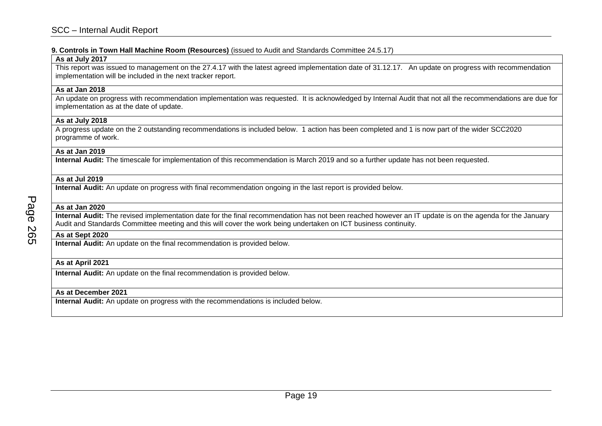#### **9. Controls in Town Hall Machine Room (Resources)** (issued to Audit and Standards Committee 24.5.17)

#### **As at July 2017**

This report was issued to management on the 27.4.17 with the latest agreed implementation date of 31.12.17. An update on progress with recommendation implementation will be included in the next tracker report.

## **As at Jan 2018**

An update on progress with recommendation implementation was requested. It is acknowledged by Internal Audit that not all the recommendations are due for implementation as at the date of update.

#### **As at July 2018**

A progress update on the 2 outstanding recommendations is included below. 1 action has been completed and 1 is now part of the wider SCC2020 programme of work.

#### **As at Jan 2019**

**Internal Audit:** The timescale for implementation of this recommendation is March 2019 and so a further update has not been requested.

#### **As at Jul 2019**

**Internal Audit:** An update on progress with final recommendation ongoing in the last report is provided below.

## **As at Jan 2020**

**Internal Audit:** The revised implementation date for the final recommendation has not been reached however an IT update is on the agenda for the January Audit and Standards Committee meeting and this will cover the work being undertaken on ICT business continuity.

#### **As at Sept 2020**

**Internal Audit:** An update on the final recommendation is provided below.

## **As at April 2021**

**Internal Audit:** An update on the final recommendation is provided below.

## **As at December 2021**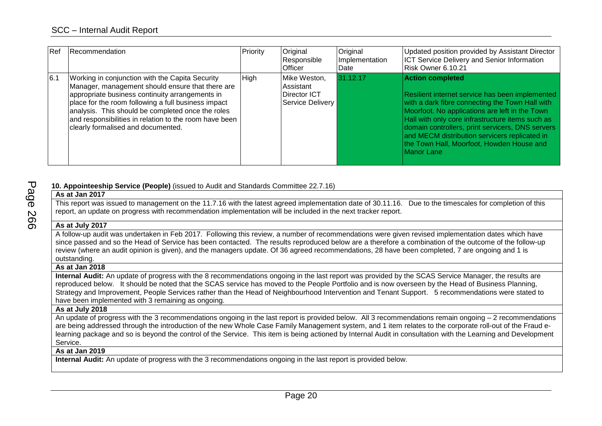| l Ref | Recommendation                                                                                                                                                                                                                                                                                                                                                     | Priority | Original<br>Responsible<br><b>Officer</b>                     | Original<br>Implementation<br>Date | Updated position provided by Assistant Director<br><b>ICT Service Delivery and Senior Information</b><br>Risk Owner 6.10.21                                                                                                                                                                                                                                                                         |
|-------|--------------------------------------------------------------------------------------------------------------------------------------------------------------------------------------------------------------------------------------------------------------------------------------------------------------------------------------------------------------------|----------|---------------------------------------------------------------|------------------------------------|-----------------------------------------------------------------------------------------------------------------------------------------------------------------------------------------------------------------------------------------------------------------------------------------------------------------------------------------------------------------------------------------------------|
| 6.1   | Working in conjunction with the Capita Security<br>Manager, management should ensure that there are<br>appropriate business continuity arrangements in<br>place for the room following a full business impact<br>analysis. This should be completed once the roles<br>and responsibilities in relation to the room have been<br>clearly formalised and documented. | High     | Mike Weston,<br>Assistant<br>Director ICT<br>Service Delivery | 31.12.17                           | <b>Action completed</b><br>Resilient internet service has been implemented<br>with a dark fibre connecting the Town Hall with<br>Moorfoot. No applications are left in the Town<br>Hall with only core infrastructure items such as<br>domain controllers, print servicers, DNS servers<br>and MECM distribution servicers replicated in<br>the Town Hall, Moorfoot, Howden House and<br>Manor Lane |

## **10. Appointeeship Service (People)** (issued to Audit and Standards Committee 22.7.16)

| As at Jan 2017                                                                                                                                                |
|---------------------------------------------------------------------------------------------------------------------------------------------------------------|
| This report was issued to management on the 11.7.16 with the latest agreed implementation date of 30.11.16. Due to the timescales for completion of this      |
| report, an update on progress with recommendation implementation will be included in the next tracker report.                                                 |
| As at July 2017                                                                                                                                               |
| A follow-up audit was undertaken in Feb 2017. Following this review, a number of recommendations were given revised implementation dates which have           |
| since passed and so the Head of Service has been contacted. The results reproduced below are a therefore a combination of the outcome of the follow-up        |
| review (where an audit opinion is given), and the managers update. Of 36 agreed recommendations, 28 have been completed, 7 are ongoing and 1 is               |
| outstanding.                                                                                                                                                  |
| As at Jan 2018                                                                                                                                                |
| Internal Audit: An update of progress with the 8 recommendations ongoing in the last report was provided by the SCAS Service Manager, the results are         |
| reproduced below. It should be noted that the SCAS service has moved to the People Portfolio and is now overseen by the Head of Business Planning,            |
| Strategy and Improvement, People Services rather than the Head of Neighbourhood Intervention and Tenant Support. 5 recommendations were stated to             |
| have been implemented with 3 remaining as ongoing.                                                                                                            |
| As at July 2018                                                                                                                                               |
| An update of progress with the 3 recommendations ongoing in the last report is provided below. All 3 recommendations remain ongoing - 2 recommendations       |
| are being addressed through the introduction of the new Whole Case Family Management system, and 1 item relates to the corporate roll-out of the Fraud e-     |
| learning package and so is beyond the control of the Service. This item is being actioned by Internal Audit in consultation with the Learning and Development |
| Service.                                                                                                                                                      |
| As at Jan 2019                                                                                                                                                |
| Internal Audit: An update of progress with the 3 recommendations ongoing in the last report is provided below.                                                |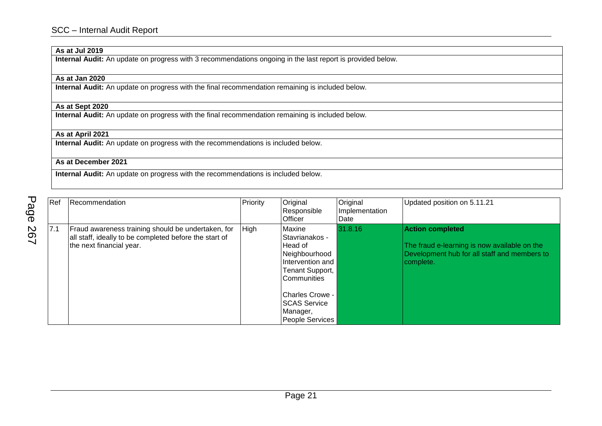# **As at Jul 2019**

**Internal Audit:** An update on progress with 3 recommendations ongoing in the last report is provided below.

## **As at Jan 2020**

**Internal Audit:** An update on progress with the final recommendation remaining is included below.

## **As at Sept 2020**

**Internal Audit:** An update on progress with the final recommendation remaining is included below.

## **As at April 2021**

**Internal Audit:** An update on progress with the recommendations is included below.

## **As at December 2021**

| Ref | Recommendation                                                                                                                           | Priority | Original<br>Responsible<br><b>Officer</b>                                                                                                                                                                 | Original<br>Implementation<br>Date | Updated position on 5.11.21                                                                                                          |
|-----|------------------------------------------------------------------------------------------------------------------------------------------|----------|-----------------------------------------------------------------------------------------------------------------------------------------------------------------------------------------------------------|------------------------------------|--------------------------------------------------------------------------------------------------------------------------------------|
| 7.1 | Fraud awareness training should be undertaken, for<br>all staff, ideally to be completed before the start of<br>the next financial year. | High     | Maxine<br>Stavrianakos -<br><b>Head of</b><br>Neighbourhood<br>Intervention and<br>Tenant Support,<br><b>Communities</b><br><b>ICharles Crowe -</b><br><b>SCAS Service</b><br>Manager,<br>People Services | 31.8.16                            | <b>Action completed</b><br>The fraud e-learning is now available on the<br>Development hub for all staff and members to<br>complete. |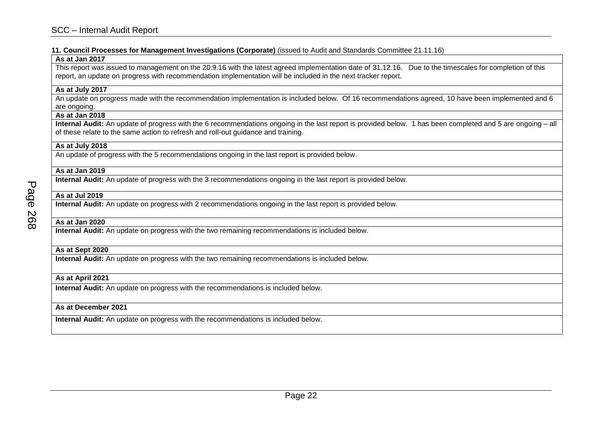#### **11. Council Processes for Management Investigations (Corporate)** (issued to Audit and Standards Committee 21.11.16)

#### **As at Jan 2017**

This report was issued to management on the 20.9.16 with the latest agreed implementation date of 31.12.16. Due to the timescales for completion of this report, an update on progress with recommendation implementation will be included in the next tracker report.

#### **As at July 2017**

An update on progress made with the recommendation implementation is included below. Of 16 recommendations agreed, 10 have been implemented and 6 are ongoing.

#### **As at Jan 2018**

**Internal Audit:** An update of progress with the 6 recommendations ongoing in the last report is provided below. 1 has been completed and 5 are ongoing – all of these relate to the same action to refresh and roll-out guidance and training.

## **As at July 2018**

An update of progress with the 5 recommendations ongoing in the last report is provided below.

#### **As at Jan 2019**

**Internal Audit:** An update of progress with the 3 recommendations ongoing in the last report is provided below.

## **As at Jul 2019**

**Internal Audit:** An update on progress with 2 recommendations ongoing in the last report is provided below.

## **As at Jan 2020**

**Internal Audit:** An update on progress with the two remaining recommendations is included below.

#### **As at Sept 2020**

**Internal Audit:** An update on progress with the two remaining recommendations is included below.

## **As at April 2021**

**Internal Audit:** An update on progress with the recommendations is included below.

## **As at December 2021**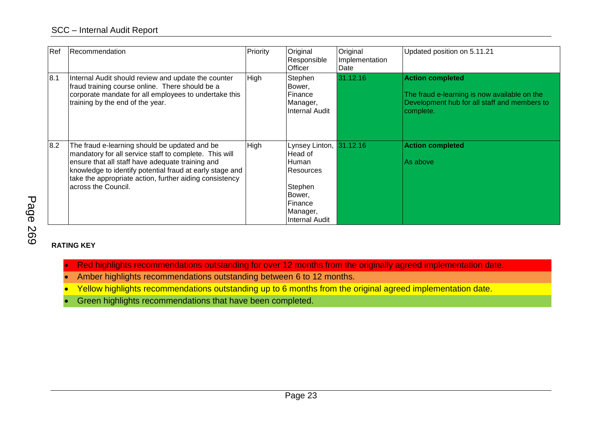| Ref | Recommendation                                                                                                                                                                                                                                                                                            | Priority | Original<br>Responsible<br>Officer                                                                                    | Original<br>Implementation<br>Date | Updated position on 5.11.21                                                                                                          |
|-----|-----------------------------------------------------------------------------------------------------------------------------------------------------------------------------------------------------------------------------------------------------------------------------------------------------------|----------|-----------------------------------------------------------------------------------------------------------------------|------------------------------------|--------------------------------------------------------------------------------------------------------------------------------------|
| 8.1 | Internal Audit should review and update the counter<br>fraud training course online. There should be a<br>corporate mandate for all employees to undertake this<br>training by the end of the year.                                                                                                       | High     | Stephen<br>Bower,<br>Finance<br>Manager,<br>Internal Audit                                                            | 31.12.16                           | <b>Action completed</b><br>The fraud e-learning is now available on the<br>Development hub for all staff and members to<br>complete. |
| 8.2 | The fraud e-learning should be updated and be<br>mandatory for all service staff to complete. This will<br>ensure that all staff have adequate training and<br>knowledge to identify potential fraud at early stage and<br>take the appropriate action, further aiding consistency<br>across the Council. | High     | Lynsey Linton,<br>Head of<br>:Human<br>Resources<br>Stephen<br>Bower,<br>Finance<br>Manager,<br><b>Internal Audit</b> | 31.12.16                           | <b>Action completed</b><br>As above                                                                                                  |

# Page 269

# **RATING KEY**

- Red highlights recommendations outstanding for over 12 months from the originally agreed implementation date.
- Amber highlights recommendations outstanding between 6 to 12 months.
- Yellow highlights recommendations outstanding up to 6 months from the original agreed implementation date.
- Green highlights recommendations that have been completed.